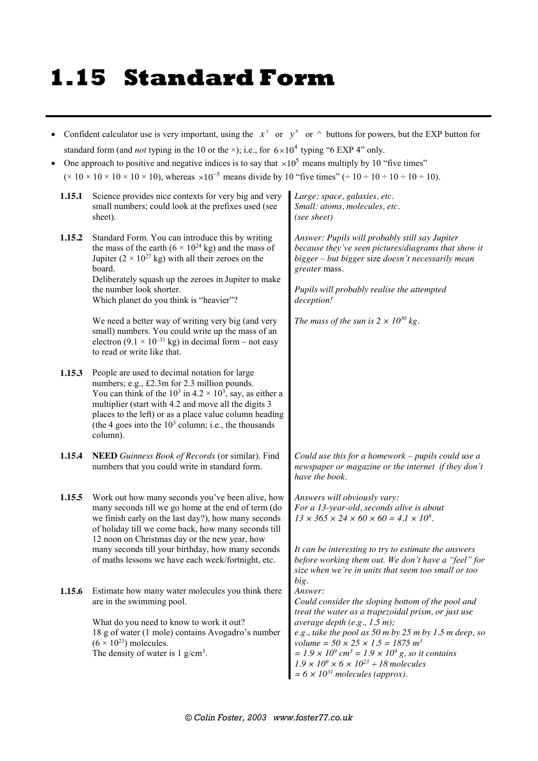## **1.15 Standard Form**

| Confident calculator use is very important, using the $x^y$ or $y^x$ or $\wedge$ buttons for powers, but the EXP button for<br>standard form (and <i>not</i> typing in the 10 or the $\times$ ); i.e., for $6 \times 10^4$ typing "6 EXP 4" only.<br>One approach to positive and negative indices is to say that $\times 10^5$ means multiply by 10 "five times"<br>$(10 \times 10 \times 10 \times 10 \times 10)$ , whereas $\times 10^{-5}$ means divide by 10 "five times" ( $\div 10 \div 10 \div 10 \div 10 \div 10$ ). |                                                                                                                                                                                                                                                                                                                                                                                   |                                                                                                                                                                                                                                                                                                                                                                                                                                                                                                                                    |  |  |
|-------------------------------------------------------------------------------------------------------------------------------------------------------------------------------------------------------------------------------------------------------------------------------------------------------------------------------------------------------------------------------------------------------------------------------------------------------------------------------------------------------------------------------|-----------------------------------------------------------------------------------------------------------------------------------------------------------------------------------------------------------------------------------------------------------------------------------------------------------------------------------------------------------------------------------|------------------------------------------------------------------------------------------------------------------------------------------------------------------------------------------------------------------------------------------------------------------------------------------------------------------------------------------------------------------------------------------------------------------------------------------------------------------------------------------------------------------------------------|--|--|
| 1.15.1                                                                                                                                                                                                                                                                                                                                                                                                                                                                                                                        | Science provides nice contexts for very big and very<br>small numbers; could look at the prefixes used (see<br>sheet).                                                                                                                                                                                                                                                            | Large: space, galaxies, etc.<br>Small: atoms, molecules, etc.<br>(see sheet)                                                                                                                                                                                                                                                                                                                                                                                                                                                       |  |  |
| 1.15.2                                                                                                                                                                                                                                                                                                                                                                                                                                                                                                                        | Standard Form. You can introduce this by writing<br>the mass of the earth $(6 \times 10^{24} \text{ kg})$ and the mass of<br>Jupiter $(2 \times 10^{27} \text{ kg})$ with all their zeroes on the<br>board.<br>Deliberately squash up the zeroes in Jupiter to make<br>the number look shorter.<br>Which planet do you think is "heavier"?                                        | Answer: Pupils will probably still say Jupiter<br>because they've seen pictures/diagrams that show it<br>bigger - but bigger size doesn't necessarily mean<br>greater mass.<br>Pupils will probably realise the attempted<br>deception!                                                                                                                                                                                                                                                                                            |  |  |
|                                                                                                                                                                                                                                                                                                                                                                                                                                                                                                                               | We need a better way of writing very big (and very<br>small) numbers. You could write up the mass of an<br>electron $(9.1 \times 10^{-31} \text{ kg})$ in decimal form – not easy<br>to read or write like that.                                                                                                                                                                  | The mass of the sun is $2 \times 10^{30}$ kg.                                                                                                                                                                                                                                                                                                                                                                                                                                                                                      |  |  |
| 1.15.3                                                                                                                                                                                                                                                                                                                                                                                                                                                                                                                        | People are used to decimal notation for large<br>numbers; e.g., £2.3m for 2.3 million pounds.<br>You can think of the $10^3$ in $4.2 \times 10^3$ , say, as either a<br>multiplier (start with 4.2 and move all the digits 3<br>places to the left) or as a place value column heading<br>(the 4 goes into the $103$ column; i.e., the thousands<br>column).                      |                                                                                                                                                                                                                                                                                                                                                                                                                                                                                                                                    |  |  |
| 1.15.4                                                                                                                                                                                                                                                                                                                                                                                                                                                                                                                        | NEED Guinness Book of Records (or similar). Find<br>numbers that you could write in standard form.                                                                                                                                                                                                                                                                                | Could use this for a homework $-$ pupils could use a<br>newspaper or magazine or the internet if they don't<br>have the book.                                                                                                                                                                                                                                                                                                                                                                                                      |  |  |
| 1.15.5                                                                                                                                                                                                                                                                                                                                                                                                                                                                                                                        | Work out how many seconds you've been alive, how<br>many seconds till we go home at the end of term (do<br>we finish early on the last day?), how many seconds<br>of holiday till we come back, how many seconds till<br>12 noon on Christmas day or the new year, how<br>many seconds till your birthday, how many seconds<br>of maths lessons we have each week/fortnight, etc. | Answers will obviously vary:<br>For a 13-year-old, seconds alive is about<br>$13 \times 365 \times 24 \times 60 \times 60 = 4.1 \times 10^8$ .<br>It can be interesting to try to estimate the answers<br>before working them out. We don't have a "feel" for                                                                                                                                                                                                                                                                      |  |  |
| 1.15.6                                                                                                                                                                                                                                                                                                                                                                                                                                                                                                                        | Estimate how many water molecules you think there<br>are in the swimming pool.<br>What do you need to know to work it out?<br>18 g of water (1 mole) contains Avogadro's number<br>$(6 \times 10^{23})$ molecules.<br>The density of water is $1$ g/cm <sup>3</sup> .                                                                                                             | size when we're in units that seem too small or too<br>big.<br>Answer:<br>Could consider the sloping bottom of the pool and<br>treat the water as a trapezoidal prism, or just use<br>average depth $(e.g., 1.5 m)$ ;<br>e.g., take the pool as 50 m by 25 m by 1.5 m deep, so<br>volume = $50 \times 25 \times 1.5 = 1875$ m <sup>3</sup><br>$= 1.9 \times 10^9$ cm <sup>3</sup> = 1.9 $\times 10^9$ g, so it contains<br>$1.9 \times 10^9 \times 6 \times 10^{23} \div 18$ molecules<br>$= 6 \times 10^{31}$ molecules (approx). |  |  |